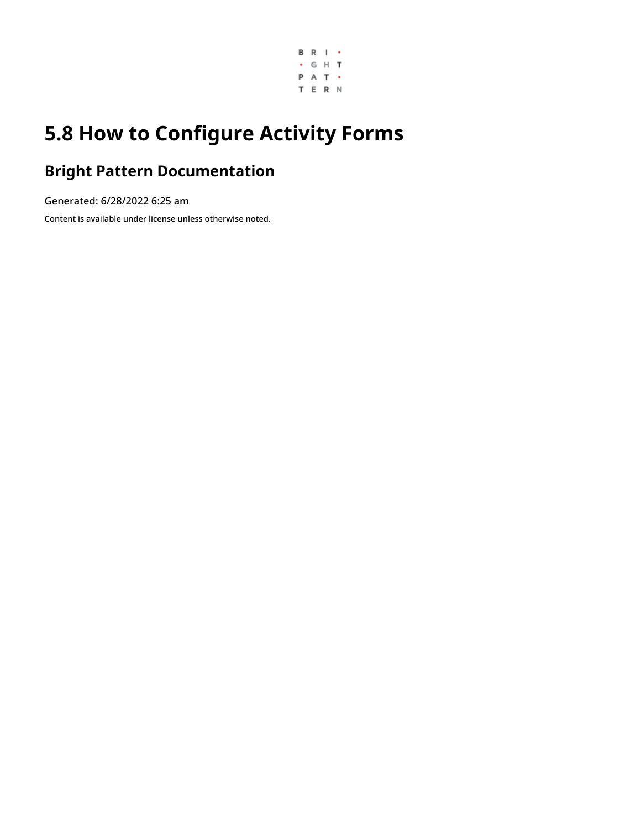

## **5.8 How to Configure Activity Forms**

## **Bright Pattern Documentation**

Generated: 6/28/2022 6:25 am

Content is available under license unless otherwise noted.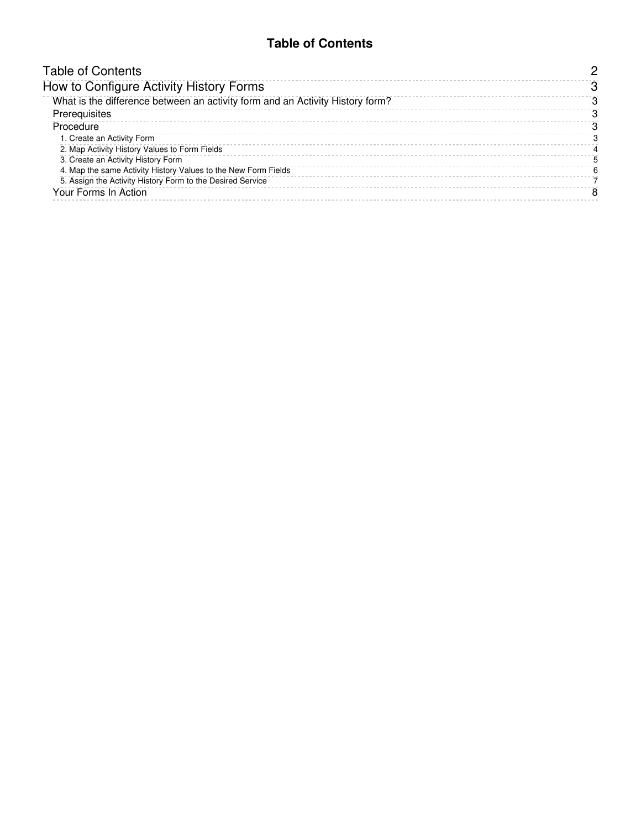#### **Table of Contents**

<span id="page-1-0"></span>

| <b>Table of Contents</b>                                                      |    |
|-------------------------------------------------------------------------------|----|
| How to Configure Activity History Forms                                       |    |
| What is the difference between an activity form and an Activity History form? |    |
| Prerequisites                                                                 | 3  |
| Procedure                                                                     | з  |
| 1. Create an Activity Form                                                    |    |
| 2. Map Activity History Values to Form Fields                                 |    |
| 3. Create an Activity History Form                                            | ٠h |
| 4. Map the same Activity History Values to the New Form Fields                | հ  |
| 5. Assign the Activity History Form to the Desired Service                    |    |
| Your Forms In Action                                                          | 8  |
|                                                                               |    |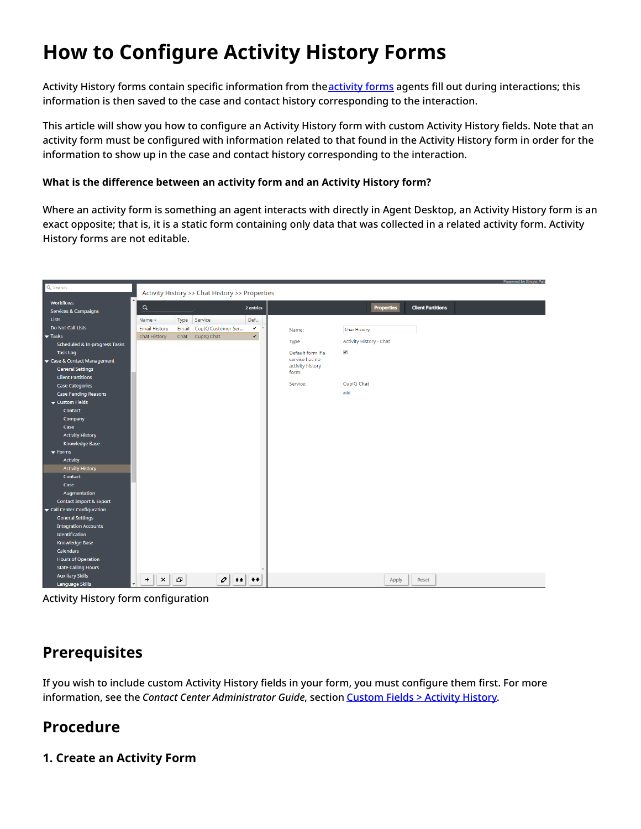# <span id="page-2-0"></span>**How to Configure Activity History Forms**

Activity History forms contain specific information from the **[activity](https://help.brightpattern.com/5.8:Form-builder-reference-guide/HowtoConfigureActivityForms/?action=html-localimages-export#topic_contact-center-administrator-guide.2Factivityforms) forms** agents fill out during interactions; this information is then saved to the case and contact history corresponding to the interaction.

This article will show you how to configure an Activity History form with custom Activity History fields. Note that an activity form must be configured with information related to that found in the Activity History form in order for the information to show up in the case and contact history corresponding to the interaction.

#### <span id="page-2-1"></span>**What is the difference between an activity form and an Activity History form?**

Where an activity form is something an agent interacts with directly in Agent Desktop, an Activity History form is an exact opposite; that is, it is a static form containing only data that was collected in a related activity form. Activity History forms are not editable.

| Q Search<br>Activity History >> Chat History >> Properties                                                             |                           |                          |                          |
|------------------------------------------------------------------------------------------------------------------------|---------------------------|--------------------------|--------------------------|
|                                                                                                                        |                           |                          |                          |
| <b>Workflows</b>                                                                                                       |                           |                          |                          |
| $\alpha$<br>2 entries<br><b>Services &amp; Campaigns</b>                                                               |                           | Properties               | <b>Client Partitions</b> |
| <b>Lists</b><br>Service<br>Def<br>Name $\star$<br>Type                                                                 |                           |                          |                          |
| Do Not Call Lists<br><b>Email History</b><br>CupIQ Customer Ser<br>$\checkmark$<br>Email                               | Name:                     | <b>Chat History</b>      |                          |
| $\overline{\checkmark}$<br>$\blacktriangledown$ Tasks<br>Chat CupIQ Chat<br>Chat History                               |                           |                          |                          |
| Scheduled & In-progress Tasks                                                                                          | Type                      | Activity History - Chat  |                          |
| <b>Task Log</b>                                                                                                        | Default form if a         | $\overline{\mathcal{L}}$ |                          |
| Gase & Contact Management                                                                                              | service has no            |                          |                          |
| <b>General Settings</b>                                                                                                | activity history<br>form: |                          |                          |
| <b>Client Partitions</b>                                                                                               |                           |                          |                          |
| <b>Case Categories</b>                                                                                                 | Service:                  | CupIQ Chat               |                          |
| <b>Case Pending Reasons</b>                                                                                            |                           | add                      |                          |
| ▼ Custom Fields                                                                                                        |                           |                          |                          |
| Contact                                                                                                                |                           |                          |                          |
| Company                                                                                                                |                           |                          |                          |
| Case                                                                                                                   |                           |                          |                          |
| <b>Activity History</b>                                                                                                |                           |                          |                          |
| Knowledge Base                                                                                                         |                           |                          |                          |
| $\blacktriangledown$ Forms                                                                                             |                           |                          |                          |
| <b>Activity</b>                                                                                                        |                           |                          |                          |
| <b>Activity History</b>                                                                                                |                           |                          |                          |
| Contact                                                                                                                |                           |                          |                          |
| Case                                                                                                                   |                           |                          |                          |
| Augmentation                                                                                                           |                           |                          |                          |
| <b>Contact Import &amp; Export</b>                                                                                     |                           |                          |                          |
| Call Center Configuration                                                                                              |                           |                          |                          |
| <b>General Settings</b>                                                                                                |                           |                          |                          |
| <b>Integration Accounts</b>                                                                                            |                           |                          |                          |
| Identification                                                                                                         |                           |                          |                          |
| <b>Knowledge Base</b>                                                                                                  |                           |                          |                          |
| Calendars                                                                                                              |                           |                          |                          |
| <b>Hours of Operation</b>                                                                                              |                           |                          |                          |
| <b>State Calling Hours</b>                                                                                             |                           |                          |                          |
| <b>Auxiliary Skills</b><br>Φ<br>$\pmb{\times}$<br>$\mathcal{O}$<br>$\div$<br>$++$<br>$\overline{1}$<br>Language Skills |                           | Apply                    | <b>Reset</b>             |

Activity History form configuration

## <span id="page-2-2"></span>**Prerequisites**

If you wish to include custom Activity History fields in your form, you must configure them first. For more information, see the *Contact Center Administrator Guide*, section [Custom](https://help.brightpattern.com/5.8:Contact-center-administrator-guide/CustomFields#Activity_History) Fields > Activity History.

### <span id="page-2-3"></span>**Procedure**

#### <span id="page-2-4"></span>**1. Create an Activity Form**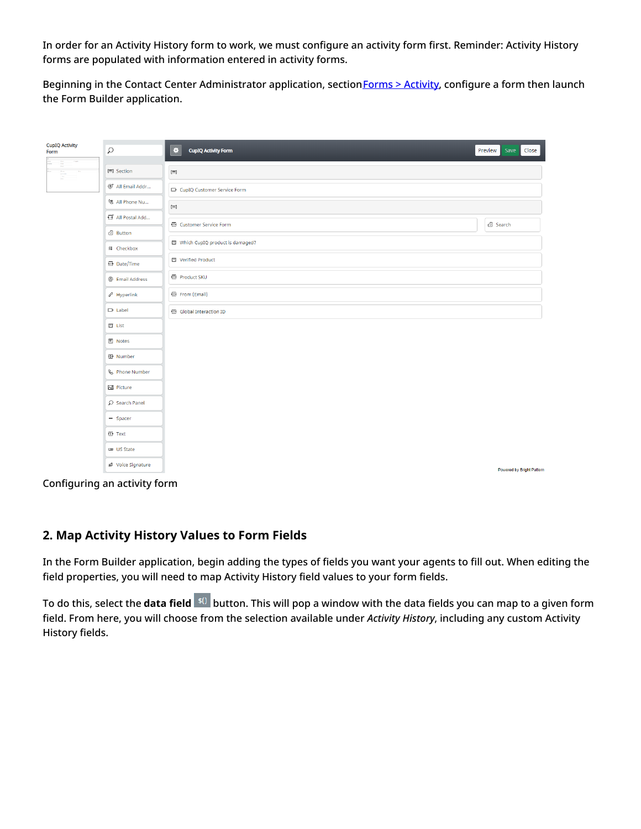In order for an Activity History form to work, we must configure an activity form first. Reminder: Activity History forms are populated with information entered in activity forms.

Beginning in the Contact Center Administrator application, section Forms > [Activity](https://help.brightpattern.com/5.8:Form-builder-reference-guide/HowtoConfigureActivityForms/?action=html-localimages-export#topic_contact-center-administrator-guide.2Factivityforms), configure a form then launch the Form Builder application.

| <b>CupIQ Activity</b><br>Form | $\Omega$                  | ۰<br><b>CupIQ Activity Form</b> | Preview<br>Save<br>Close  |
|-------------------------------|---------------------------|---------------------------------|---------------------------|
| Ē<br>D.<br>È.                 | □ Section                 | $\left[ =\right]$               |                           |
|                               | @* All Email Addr         | D CupIQ Customer Service Form   |                           |
|                               | % All Phone Nu            | $\left[ \equiv \right]$         |                           |
|                               | All Postal Add            | <b>T</b> Customer Service Form  | <sup>2</sup> Search       |
|                               | <sup>2</sup> Button       | Which CupIQ product is damaged? |                           |
|                               | <b>非 Checkbox</b>         |                                 |                           |
|                               | <b>2</b> Date/Time        | □ Verified Product              |                           |
|                               | @ Email Address           | T Product SKU                   |                           |
|                               | $\mathscr{E}$ Hyperlink   | 图 From (Email)                  |                           |
|                               | $\Box$ Label              | <b>T</b> Global Interaction ID  |                           |
|                               | $\Box$ List               |                                 |                           |
|                               | $\blacksquare$ Notes      |                                 |                           |
|                               | <b>图 Number</b>           |                                 |                           |
|                               | <b>&amp;</b> Phone Number |                                 |                           |
|                               | <b>区</b> Picture          |                                 |                           |
|                               | $O$ Search Panel          |                                 |                           |
|                               | $-$ Spacer                |                                 |                           |
|                               | <b>T</b> Text             |                                 |                           |
|                               | <b>CID</b> US State       |                                 |                           |
|                               | & Voice Signature         |                                 | Powered by Bright Pattern |

Configuring an activity form

#### <span id="page-3-0"></span>**2. Map Activity History Values to Form Fields**

In the Form Builder application, begin adding the types of fields you want your agents to fill out. When editing the field properties, you will need to map Activity History field values to your form fields.

To do this, select the **data field** <sup>\$0</sup> button. This will pop a window with the data fields you can map to a given form field. From here, you will choose from the selection available under *Activity History*, including any custom Activity History fields.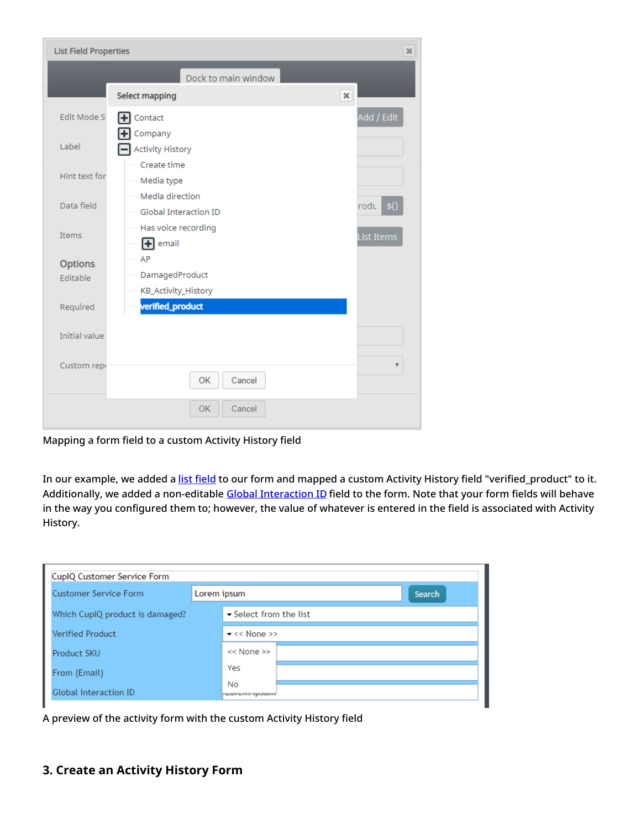| <b>List Field Properties</b><br>$\boldsymbol{\varkappa}$ |                                                                       |                    |  |  |
|----------------------------------------------------------|-----------------------------------------------------------------------|--------------------|--|--|
|                                                          | Dock to main window                                                   |                    |  |  |
|                                                          | Select mapping                                                        | ×                  |  |  |
| Edit Mode St                                             | Contact                                                               | Add / Edit         |  |  |
| Label                                                    | Company<br><b>Activity History</b><br>Create time                     |                    |  |  |
| Hint text for                                            | ---- Media type                                                       |                    |  |  |
| Data field                                               | --- Media direction<br>---- Global Interaction ID                     | $\text{rodu}$ \$() |  |  |
| Items                                                    | Has voice recording<br>List Items<br>$\left  \mathbf{+}\right $ email |                    |  |  |
| <b>Options</b>                                           | AP<br>$\overline{a}$                                                  |                    |  |  |
| Editable                                                 | DamagedProduct                                                        |                    |  |  |
| Required                                                 | KB_Activity_History<br>verified_product                               |                    |  |  |
| Initial value                                            |                                                                       |                    |  |  |
| Custom repo                                              | OK<br>Cancel                                                          | v                  |  |  |
|                                                          | OK<br>Cancel                                                          |                    |  |  |

Mapping a form field to a custom Activity History field

In our example, we added a list [field](https://help.brightpattern.com/5.8:Form-builder-reference-guide/HowtoConfigureActivityForms/?action=html-localimages-export#topic_form-builder-reference-guide.2Flist) to our form and mapped a custom Activity History field "verified\_product" to it. Additionally, we added a non-editable Global [Interaction](https://help.brightpattern.com/5.8:Form-builder-reference-guide/HowtoConfigureActivityForms/?action=html-localimages-export#topic_reporting-reference-guide.2Fglobalinteractionidentifier) ID field to the form. Note that your form fields will behave in the way you configured them to; however, the value of whatever is entered in the field is associated with Activity History.

| CupIQ Customer Service Form                                                   |                                  |  |  |  |
|-------------------------------------------------------------------------------|----------------------------------|--|--|--|
| <b>Customer Service Form</b>                                                  | Lorem ipsum<br><b>Search</b>     |  |  |  |
| $\blacktriangleright$ Select from the list<br>Which CupIQ product is damaged? |                                  |  |  |  |
| <b>Verified Product</b>                                                       | $\blacktriangleright$ << None >> |  |  |  |
| Product SKU                                                                   | $<<$ None $>>$                   |  |  |  |
| From (Email)                                                                  | Yes                              |  |  |  |
| <b>Global Interaction ID</b>                                                  | No<br>LOTOTH IPSUITE             |  |  |  |

A preview of the activity form with the custom Activity History field

#### <span id="page-4-0"></span>**3. Create an Activity History Form**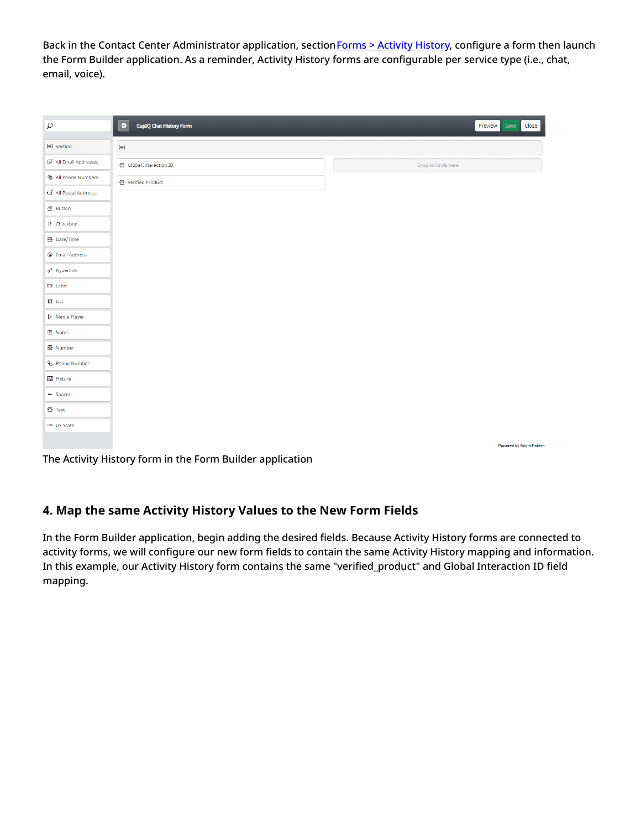Back in the Contact Center Administrator application, section Forms > [Activity](https://help.brightpattern.com/5.8:Form-builder-reference-guide/HowtoConfigureActivityForms/?action=html-localimages-export#topic_contact-center-administrator-guide.2Factivityhistoryforms) History, configure a form then launch the Form Builder application. As a reminder, Activity History forms are configurable per service type (i.e., chat, email, voice).

| $\varphi$                     | ۰<br><b>CupIQ Chat History Form</b> | Save<br>Preview<br>Close  |
|-------------------------------|-------------------------------------|---------------------------|
| [三] Section                   | $\left[ \equiv \right]$             |                           |
| @* All Email Addresses        | Global Interaction ID               | Drop controls here        |
| <b>は All Phone Numbers</b>    | T Verified Product                  |                           |
| 日 All Postal Address          |                                     |                           |
| <sup>2</sup> Button           |                                     |                           |
| <b>8</b> Checkbox             |                                     |                           |
| <sup>22</sup> Date/Time       |                                     |                           |
| @ Email Address               |                                     |                           |
| $\mathcal{O}$ Hyperlink       |                                     |                           |
| $\Box$ Label                  |                                     |                           |
| $\Box$ List                   |                                     |                           |
| $\triangleright$ Media Player |                                     |                           |
| $E$ Notes                     |                                     |                           |
| 图 Number                      |                                     |                           |
| <b>&amp;</b> Phone Number     |                                     |                           |
| 조 Picture                     |                                     |                           |
| $-$ Spacer                    |                                     |                           |
| $E$ Text                      |                                     |                           |
| <b>ED US State</b>            |                                     |                           |
|                               |                                     | Powered by Bright Pattern |

The Activity History form in the Form Builder application

#### <span id="page-5-0"></span>**4. Map the same Activity History Values to the New Form Fields**

In the Form Builder application, begin adding the desired fields. Because Activity History forms are connected to activity forms, we will configure our new form fields to contain the same Activity History mapping and information. In this example, our Activity History form contains the same "verified\_product" and Global Interaction ID field mapping.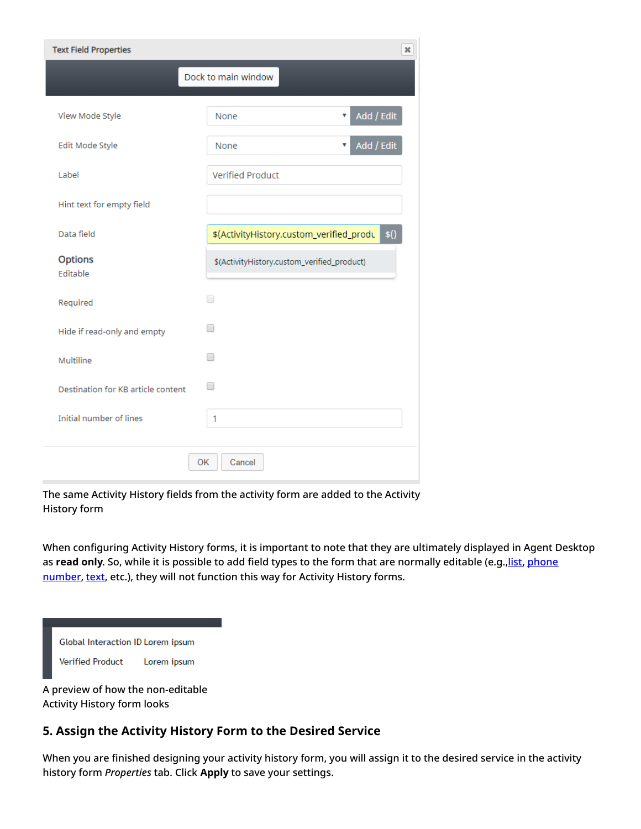| <b>Text Field Properties</b><br>$\pmb{\times}$ |                                                  |  |  |  |
|------------------------------------------------|--------------------------------------------------|--|--|--|
|                                                | Dock to main window                              |  |  |  |
| View Mode Style                                | Add / Edit<br>None<br>v                          |  |  |  |
| Edit Mode Style                                | Add / Edit<br>None<br>$\boldsymbol{\mathrm{v}}$  |  |  |  |
| Label                                          | <b>Verified Product</b>                          |  |  |  |
| Hint text for empty field                      |                                                  |  |  |  |
| Data field                                     | \$()<br>\$(ActivityHistory.custom_verified_produ |  |  |  |
| <b>Options</b><br>Editable                     | \$(ActivityHistory.custom_verified_product)      |  |  |  |
| Required                                       | □                                                |  |  |  |
| Hide if read-only and empty                    | □                                                |  |  |  |
| Multiline                                      | □                                                |  |  |  |
| Destination for KB article content             | $\Box$                                           |  |  |  |
| Initial number of lines                        | 1                                                |  |  |  |
|                                                | Cancel<br>OK                                     |  |  |  |

The same Activity History fields from the activity form are added to the Activity History form

When configuring Activity History forms, it is important to note that they are ultimately displayed in Agent Desktop as read only. So, while it is possible to add field types to the form that are [normally](https://help.brightpattern.com/5.8:Form-builder-reference-guide/HowtoConfigureActivityForms/?action=html-localimages-export#topic_form-builder-reference-guide.2Fphonenumber) editable (e.g., list, phone number, [text](https://help.brightpattern.com/5.8:Form-builder-reference-guide/HowtoConfigureActivityForms/?action=html-localimages-export#topic_form-builder-reference-guide.2Ftext), etc.), they will not function this way for Activity History forms.

| Global Interaction ID Lorem ipsum |             |
|-----------------------------------|-------------|
| <b>Verified Product</b>           | Lorem ipsum |

A preview of how the non-editable Activity History form looks

#### <span id="page-6-0"></span>**5. Assign the Activity History Form to the Desired Service**

When you are finished designing your activity history form, you will assign it to the desired service in the activity history form *Properties* tab. Click **Apply** to save your settings.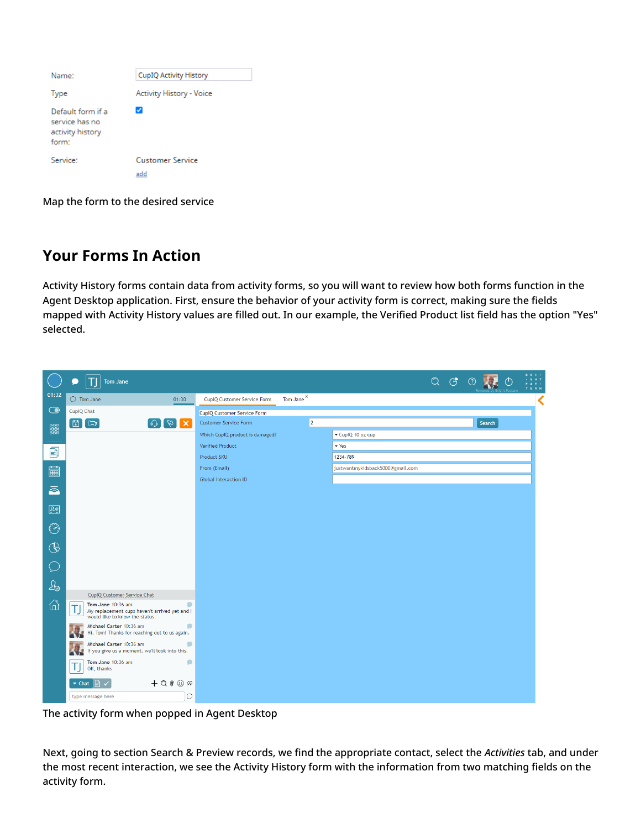| Name:                                                                        | CupIQ Activity History         |
|------------------------------------------------------------------------------|--------------------------------|
| <b>Type</b>                                                                  | Activity History - Voice       |
| Default form if a<br>service has no<br>activity history<br>form <sup>*</sup> | ✓                              |
| Service:                                                                     | <b>Customer Service</b><br>add |

Map the form to the desired service

## <span id="page-7-0"></span>**Your Forms In Action**

Activity History forms contain data from activity forms, so you will want to review how both forms function in the Agent Desktop application. First, ensure the behavior of your activity form is correct, making sure the fields mapped with Activity History values are filled out. In our example, the Verified Product list field has the option "Yes" selected.

|                        | <b>Tom Jane</b><br>Ð                                                                                            |                                                      |   |                                  | Q | $C_{\mathcal{F}}$ |        | <b>BRI-</b> |
|------------------------|-----------------------------------------------------------------------------------------------------------------|------------------------------------------------------|---|----------------------------------|---|-------------------|--------|-------------|
| 01:32                  | $\bigcirc$ Tom Jane<br>01:30                                                                                    | Tom Jane <sup>×</sup><br>CupIQ Customer Service Form |   |                                  |   |                   |        |             |
| $\bigodot$             | CupIQ Chat                                                                                                      | <b>CupIQ Customer Service Form</b>                   |   |                                  |   |                   |        |             |
| 888                    | 固<br>$\mathbf{X}[\mathbf{z}]$<br>$F_{\pm}$<br>$\odot$ $\blacksquare$                                            | <b>Customer Service Form</b>                         | 2 |                                  |   |                   | Search |             |
|                        |                                                                                                                 | Which CupIQ product is damaged?                      |   | CupIQ 10 oz cup                  |   |                   |        |             |
| 自                      |                                                                                                                 | Verified Product                                     |   | $\blacktriangledown$ Yes         |   |                   |        |             |
|                        |                                                                                                                 | Product SKU                                          |   | 1234-789                         |   |                   |        |             |
| ■                      |                                                                                                                 | From (Email)                                         |   | justwantmykidsback5000@gmail.com |   |                   |        |             |
|                        |                                                                                                                 | <b>Global Interaction ID</b>                         |   |                                  |   |                   |        |             |
| ā                      |                                                                                                                 |                                                      |   |                                  |   |                   |        |             |
| $\mathbb{R}^{\bullet}$ |                                                                                                                 |                                                      |   |                                  |   |                   |        |             |
| $\odot$                |                                                                                                                 |                                                      |   |                                  |   |                   |        |             |
|                        |                                                                                                                 |                                                      |   |                                  |   |                   |        |             |
| (€                     |                                                                                                                 |                                                      |   |                                  |   |                   |        |             |
|                        |                                                                                                                 |                                                      |   |                                  |   |                   |        |             |
| $\mathcal{Q}_\odot$    |                                                                                                                 |                                                      |   |                                  |   |                   |        |             |
|                        | CupIQ Customer Service Chat                                                                                     |                                                      |   |                                  |   |                   |        |             |
| ⋒                      | Tom Jane 10:36 am<br>۰<br>IJ<br>My replacement cups haven't arrived yet and I<br>would like to know the status. |                                                      |   |                                  |   |                   |        |             |
|                        | Michael Carter 10:36 am<br>۰<br>Hi, Tom! Thanks for reaching out to us again.<br><b>AND</b>                     |                                                      |   |                                  |   |                   |        |             |
|                        | Michael Carter 10:36 am<br>0<br>Michael Carter 10:36 am<br>If you give us a moment, we'll look into this.       |                                                      |   |                                  |   |                   |        |             |
|                        | Tom Jane 10:36 am<br>$\bullet$<br>OK, thanks                                                                    |                                                      |   |                                  |   |                   |        |             |
|                        | $+$ Q $0 \odot \infty$<br>$\blacktriangledown$ Chat<br>R                                                        |                                                      |   |                                  |   |                   |        |             |
|                        | Ο<br>type message here                                                                                          |                                                      |   |                                  |   |                   |        |             |

The activity form when popped in Agent Desktop

Next, going to section Search & Preview records, we find the appropriate contact, select the *Activities* tab, and under the most recent interaction, we see the Activity History form with the information from two matching fields on the activity form.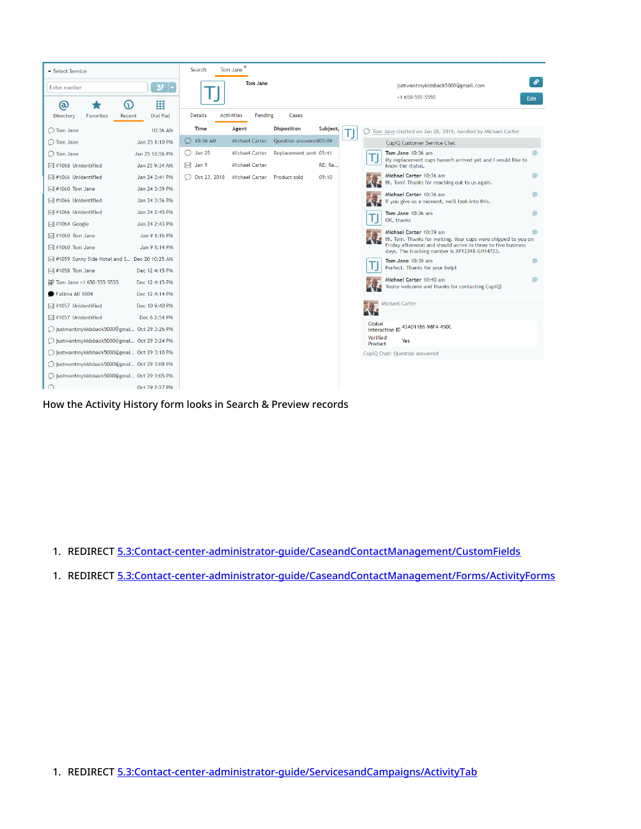| Select Service                                             | Tom Jane $^{\times}$<br>Search                                                                                                                 |
|------------------------------------------------------------|------------------------------------------------------------------------------------------------------------------------------------------------|
| $ v $ -<br>Enter number                                    | $\mathcal{S}$<br><b>Tom Jane</b><br>justwantmykidsback5000@gmail.com                                                                           |
| ▒<br>6<br>(බ                                               | +1 650-555-5555<br>Edit.                                                                                                                       |
| <b>Dial Pad</b><br>Directory<br><b>Favorites</b><br>Recent | <b>Activities</b><br>Pending<br><b>Details</b><br>Cases                                                                                        |
| 10:36 AM<br>$\bigcirc$ Tom Jane                            | Subject,<br><b>Time</b><br><b>Disposition</b><br>Agent<br>◯ Tom Jane chatted on Jan 28, 2019, handled by Michael Carter                        |
| Jan 25 1:10 PM<br>◯ Tom Jane                               | $\bigcirc$ 10:36 AM<br><b>Michael Carter</b><br>Question answered05:09<br>CupIQ Customer Service Chat                                          |
| Jan 25 12:56 PM<br>◯ Tom Jane                              | <b>Jan 25</b><br><b>Michael Carter</b><br>Replacement sent 05:41<br>Tom Jane 10:36 am<br>O                                                     |
| Jan 25 9:34 AM<br>⊠ #1068 Unidentified                     | My replacement cups haven't arrived yet and I would like to<br>$\boxtimes$ Jan 9<br><b>RE: Re</b><br><b>Michael Carter</b><br>know the status. |
| ⊠ #1066 Unidentified<br>Jan 24 3:41 PM                     | Michael Carter 10:36 am<br>$\bigcirc$ Oct 23, 2018<br>Michael Carter Product sold<br>09:10<br>Hi, Tom! Thanks for reaching out to us again.    |
| Jan 24 3:39 PM<br>$\boxtimes$ #1060 Tom Jane               | Michael Carter 10:36 am                                                                                                                        |
| ⊠ #1066 Unidentified<br>Jan 24 3:36 PM                     | If you give us a moment, we'll look into this.                                                                                                 |
| ⊠ #1066 Unidentified<br>Jan 24 2:45 PM                     | Tom Jane 10:36 am                                                                                                                              |
| ⊠ #1064 Google<br>Jan 24 2:43 PM                           | OK, thanks                                                                                                                                     |
| $\boxtimes$ #1060 Tom Jane<br>Jan 9 1:16 PM                | Michael Carter 10:39 am<br>Hi, Tom. Thanks for waiting. Your cups were shipped to you on                                                       |
| $\boxtimes$ #1060 Tom Jane<br>Jan 9 1:14 PM                | Friday afternoon and should arrive in three to five business<br>days. The tracking number is XP12348-GH14723.                                  |
| #1059 Sunny Side Hotel and S Dec 20 10:25 AM               | Tom Jane 10:39 am                                                                                                                              |
| $\boxtimes$ #1058 Tom Jane<br>Dec 12 4:15 PM               | Perfect. Thanks for your help!                                                                                                                 |
| No Tom Jane +1 650-555-5555<br>Dec 12 4:15 PM              | Michael Carter 10:40 am<br>You're welcome and thanks for contacting CupIQ!                                                                     |
| Fatima Ali 1004<br>Dec 12 4:14 PM                          |                                                                                                                                                |
| ⊠ #1057 Unidentified<br>Dec 10 9:40 PM                     | <b>Michael Carter</b>                                                                                                                          |
| □ #1057 Unidentified<br>Dec 6 2:54 PM                      |                                                                                                                                                |
| ○ justwantmykidsback5000@gmai Oct 29 3:26 PM               | Interaction ID 43AD11B6-98F4-450C                                                                                                              |
| ◯ justwantmykidsback5000@gmai Oct 29 3:24 PM               | Verified<br>Yes<br>Product                                                                                                                     |
| ◯ justwantmykidsback5000@gmai Oct 29 3:10 PM               | CupIQ Chat: Question answered                                                                                                                  |
| ○ justwantmykidsback5000@gmai Oct 29 3:08 PM               |                                                                                                                                                |
| ○ justwantmykidsback5000@gmai Oct 29 3:05 PM               |                                                                                                                                                |
| Oct 29 2:27 PM                                             |                                                                                                                                                |

How the Activity History form looks in Search & Preview records

1. REDIRECT [5.3:Contact-center-administrator-guide/CaseandContactManagement/CustomFields](https://help.brightpattern.com/5.3:Contact-center-administrator-guide/CaseandContactManagement/CustomFields)

1. REDIRECT [5.3:Contact-center-administrator-guide/CaseandContactManagement/Forms/ActivityForms](https://help.brightpattern.com/5.3:Contact-center-administrator-guide/CaseandContactManagement/Forms/ActivityForms)